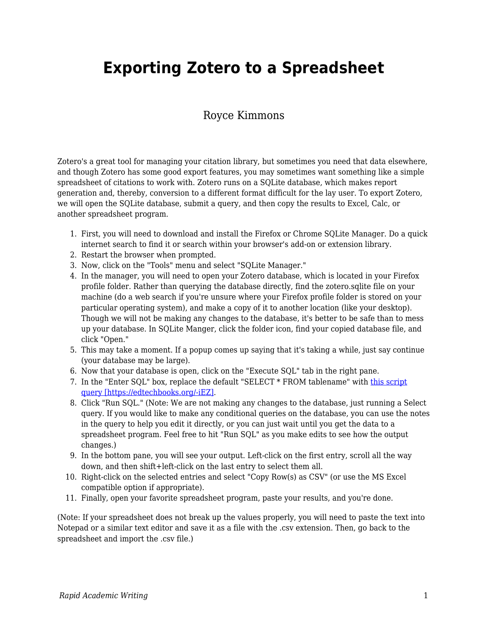## **Exporting Zotero to a Spreadsheet**

## Royce Kimmons

Zotero's a great tool for managing your citation library, but sometimes you need that data elsewhere, and though Zotero has some good export features, you may sometimes want something like a simple spreadsheet of citations to work with. Zotero runs on a SQLite database, which makes report generation and, thereby, conversion to a different format difficult for the lay user. To export Zotero, we will open the SQLite database, submit a query, and then copy the results to Excel, Calc, or another spreadsheet program.

- 1. First, you will need to download and install the Firefox or Chrome SQLite Manager. Do a quick internet search to find it or search within your browser's add-on or extension library.
- 2. Restart the browser when prompted.
- 3. Now, click on the "Tools" menu and select "SQLite Manager."
- 4. In the manager, you will need to open your Zotero database, which is located in your Firefox profile folder. Rather than querying the database directly, find the zotero.sqlite file on your machine (do a web search if you're unsure where your Firefox profile folder is stored on your particular operating system), and make a copy of it to another location (like your desktop). Though we will not be making any changes to the database, it's better to be safe than to mess up your database. In SQLite Manger, click the folder icon, find your copied database file, and click "Open."
- 5. This may take a moment. If a popup comes up saying that it's taking a while, just say continue (your database may be large).
- 6. Now that your database is open, click on the "Execute SQL" tab in the right pane.
- 7. In the "Enter SQL" box, replace the default "SELECT \* FROM tablename" with [this script](https://github.com/RoyceKimmons/Zotero-to-Excel-SQLite-Export/blob/master/export.sql) [query \[https://edtechbooks.org/-iEZ\]](https://github.com/RoyceKimmons/Zotero-to-Excel-SQLite-Export/blob/master/export.sql).
- 8. Click "Run SQL." (Note: We are not making any changes to the database, just running a Select query. If you would like to make any conditional queries on the database, you can use the notes in the query to help you edit it directly, or you can just wait until you get the data to a spreadsheet program. Feel free to hit "Run SQL" as you make edits to see how the output changes.)
- 9. In the bottom pane, you will see your output. Left-click on the first entry, scroll all the way down, and then shift+left-click on the last entry to select them all.
- 10. Right-click on the selected entries and select "Copy Row(s) as CSV" (or use the MS Excel compatible option if appropriate).
- 11. Finally, open your favorite spreadsheet program, paste your results, and you're done.

(Note: If your spreadsheet does not break up the values properly, you will need to paste the text into Notepad or a similar text editor and save it as a file with the .csv extension. Then, go back to the spreadsheet and import the .csv file.)